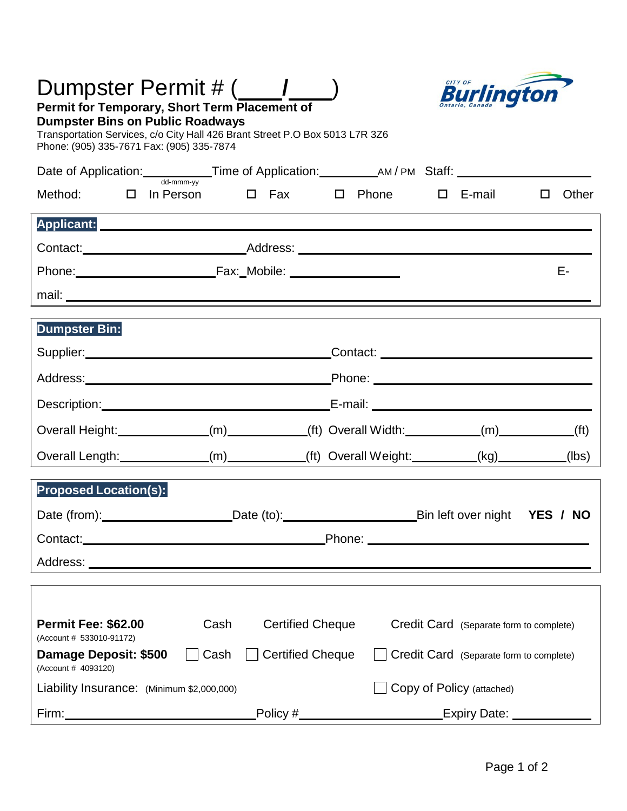| Burlington<br>Permit for Temporary, Short Term Placement of<br><b>Dumpster Bins on Public Roadways</b><br>Transportation Services, c/o City Hall 426 Brant Street P.O Box 5013 L7R 3Z6<br>Phone: (905) 335-7671 Fax: (905) 335-7874       |                         |                                         |                                                                    |                 |  |
|-------------------------------------------------------------------------------------------------------------------------------------------------------------------------------------------------------------------------------------------|-------------------------|-----------------------------------------|--------------------------------------------------------------------|-----------------|--|
| Date of Application:<br>Mademma <sub>ry</sub> Time of Application: Many AM/PM Staff: Many Staff: Many Staff: Many Staff: Many Staff: Many Staff: Many Staff: Many Staff: Many Staff: Many Staff: Many Staff: Many Staff: Many Staff: Many |                         |                                         |                                                                    |                 |  |
| $\Box$ In Person $\Box$ Fax $\Box$ Phone $\Box$ E-mail<br>Method:                                                                                                                                                                         |                         |                                         |                                                                    | Other<br>$\Box$ |  |
| Applicant: Applicant: Applicant: Applicant: Applicant: Applicant: Applicant: Applicant: Applicant: Applicant: Applicant: Applicant: Applicant: Applicant: Applicant: Applicant: Applicant: Applicant: Applicant: Applicant: Ap            |                         |                                         |                                                                    |                 |  |
|                                                                                                                                                                                                                                           |                         |                                         |                                                                    |                 |  |
|                                                                                                                                                                                                                                           |                         |                                         |                                                                    | Е-              |  |
|                                                                                                                                                                                                                                           |                         |                                         |                                                                    |                 |  |
| Dumpster Bin:                                                                                                                                                                                                                             |                         |                                         |                                                                    |                 |  |
|                                                                                                                                                                                                                                           |                         |                                         |                                                                    |                 |  |
|                                                                                                                                                                                                                                           |                         |                                         |                                                                    |                 |  |
| Description: Note and The Contract of Contract Contract Contract Contract Contract Contract Contract Contract Contract Contract Contract Contract Contract Contract Contract Contract Contract Contract Contract Contract Cont            |                         |                                         |                                                                    |                 |  |
| Overall Height: _____________(m)__________(ft) Overall Width: _________(m)_________(ft)                                                                                                                                                   |                         |                                         |                                                                    |                 |  |
| Overall Length: ____________(m) _________(ft) Overall Weight: ________(kg) _________                                                                                                                                                      |                         |                                         |                                                                    | (lbs)           |  |
| <b>Proposed Location(s):</b>                                                                                                                                                                                                              |                         |                                         |                                                                    |                 |  |
| Date (from): Date (to): Date (to): Bin left over night YES / NO                                                                                                                                                                           |                         |                                         |                                                                    |                 |  |
|                                                                                                                                                                                                                                           |                         |                                         |                                                                    |                 |  |
|                                                                                                                                                                                                                                           |                         |                                         |                                                                    |                 |  |
|                                                                                                                                                                                                                                           |                         |                                         |                                                                    |                 |  |
| <b>Permit Fee: \$62.00</b><br>Cash<br>(Account # 533010-91172)                                                                                                                                                                            | <b>Certified Cheque</b> | Credit Card (Separate form to complete) |                                                                    |                 |  |
| Damage Deposit: \$500<br>Cash<br>(Account # 4093120)                                                                                                                                                                                      | <b>Certified Cheque</b> | Credit Card (Separate form to complete) |                                                                    |                 |  |
| Liability Insurance: (Minimum \$2,000,000)                                                                                                                                                                                                |                         | Copy of Policy (attached)               |                                                                    |                 |  |
|                                                                                                                                                                                                                                           |                         |                                         | _Policy #______________________________Expiry Date: ______________ |                 |  |